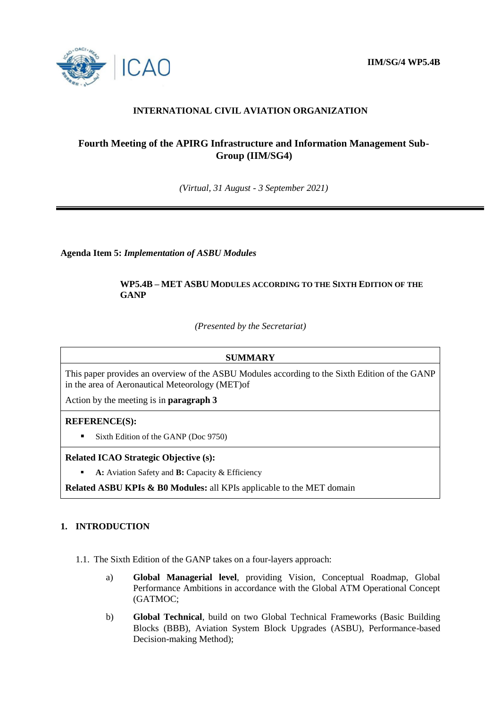

# **INTERNATIONAL CIVIL AVIATION ORGANIZATION**

# **Fourth Meeting of the APIRG Infrastructure and Information Management Sub-Group (IIM/SG4)**

*(Virtual, 31 August - 3 September 2021)*

**Agenda Item 5:** *Implementation of ASBU Modules* 

### **WP5.4B – MET ASBU MODULES ACCORDING TO THE SIXTH EDITION OF THE GANP**

*(Presented by the Secretariat)*

### **SUMMARY**

This paper provides an overview of the ASBU Modules according to the Sixth Edition of the GANP in the area of Aeronautical Meteorology (MET)of

Action by the meeting is in **paragraph 3**

#### **REFERENCE(S):**

Sixth Edition of the GANP (Doc 9750)

#### **Related ICAO Strategic Objective (s):**

**A:** Aviation Safety and **B:** Capacity & Efficiency

**Related ASBU KPIs & B0 Modules:** all KPIs applicable to the MET domain

### **1. INTRODUCTION**

- 1.1. The Sixth Edition of the GANP takes on a four-layers approach:
	- a) **Global Managerial level**, providing Vision, Conceptual Roadmap, Global Performance Ambitions in accordance with the Global ATM Operational Concept (GATMOC;
	- b) **Global Technical**, build on two Global Technical Frameworks (Basic Building Blocks (BBB), Aviation System Block Upgrades (ASBU), Performance-based Decision-making Method);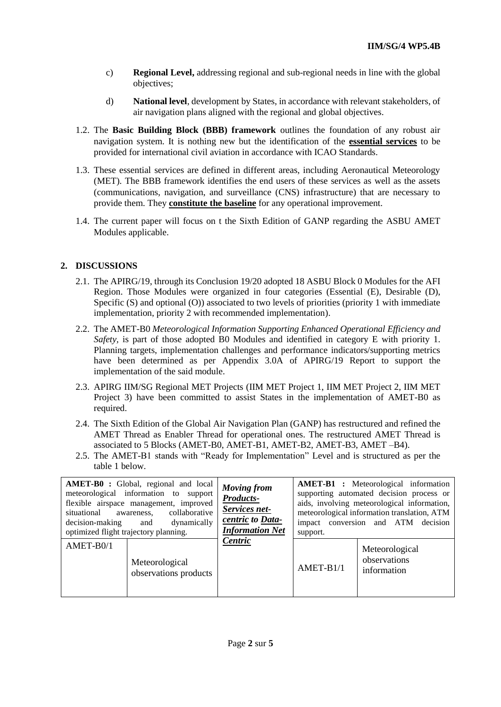- c) **Regional Level,** addressing regional and sub-regional needs in line with the global objectives;
- d) **National level**, development by States, in accordance with relevant stakeholders, of air navigation plans aligned with the regional and global objectives.
- 1.2. The **Basic Building Block (BBB) framework** outlines the foundation of any robust air navigation system. It is nothing new but the identification of the **essential services** to be provided for international civil aviation in accordance with ICAO Standards.
- 1.3. These essential services are defined in different areas, including Aeronautical Meteorology (MET). The BBB framework identifies the end users of these services as well as the assets (communications, navigation, and surveillance (CNS) infrastructure) that are necessary to provide them. They **constitute the baseline** for any operational improvement.
- 1.4. The current paper will focus on t the Sixth Edition of GANP regarding the ASBU AMET Modules applicable.

## **2. DISCUSSIONS**

- 2.1. The APIRG/19, through its Conclusion 19/20 adopted 18 ASBU Block 0 Modules for the AFI Region. Those Modules were organized in four categories (Essential (E), Desirable (D), Specific (S) and optional (O)) associated to two levels of priorities (priority 1 with immediate implementation, priority 2 with recommended implementation).
- 2.2. The AMET-B0 *Meteorological Information Supporting Enhanced Operational Efficiency and Safety,* is part of those adopted B0 Modules and identified in category E with priority 1. Planning targets, implementation challenges and performance indicators/supporting metrics have been determined as per Appendix 3.0A of APIRG/19 Report to support the implementation of the said module.
- 2.3. APIRG IIM/SG Regional MET Projects (IIM MET Project 1, IIM MET Project 2, IIM MET Project 3) have been committed to assist States in the implementation of AMET-B0 as required.
- 2.4. The Sixth Edition of the Global Air Navigation Plan (GANP) has restructured and refined the AMET Thread as Enabler Thread for operational ones. The restructured AMET Thread is associated to 5 Blocks (AMET-B0, AMET-B1, AMET-B2, AMET-B3, AMET –B4).
- 2.5. The AMET-B1 stands with "Ready for Implementation" Level and is structured as per the table 1 below.

| situational awareness,<br>decision-making | AMET-B0 : Global, regional and local<br>meteorological information to support<br>flexible airspace management, improved<br>collaborative<br>dynamically<br>and<br>optimized flight trajectory planning. | <b>Moving from</b><br><b>Products-</b><br>Services net-<br>centric to Data-<br><b>Information Net</b><br>Centric | <b>AMET-B1</b> : Meteorological information<br>supporting automated decision process or<br>aids, involving meteorological information,<br>meteorological information translation, ATM<br>impact conversion and ATM decision<br>support. |                                               |  |  |  |
|-------------------------------------------|---------------------------------------------------------------------------------------------------------------------------------------------------------------------------------------------------------|------------------------------------------------------------------------------------------------------------------|-----------------------------------------------------------------------------------------------------------------------------------------------------------------------------------------------------------------------------------------|-----------------------------------------------|--|--|--|
| AMET-B0/1                                 | Meteorological<br>observations products                                                                                                                                                                 |                                                                                                                  | $AMET-B1/1$                                                                                                                                                                                                                             | Meteorological<br>observations<br>information |  |  |  |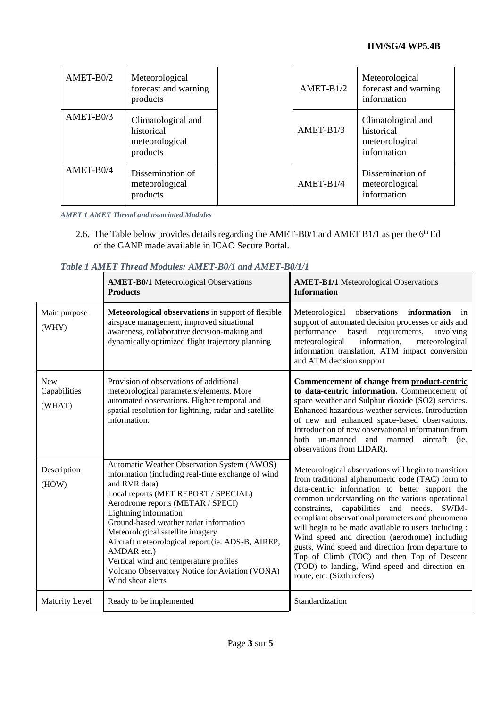## **IIM/SG/4 WP5.4B**

| $AMET-B0/2$ | Meteorological<br>forecast and warning<br>products             | $AMET-B1/2$ | Meteorological<br>forecast and warning<br>information             |
|-------------|----------------------------------------------------------------|-------------|-------------------------------------------------------------------|
| $AMET-B0/3$ | Climatological and<br>historical<br>meteorological<br>products | $AMET-B1/3$ | Climatological and<br>historical<br>meteorological<br>information |
| AMET-B0/4   | Dissemination of<br>meteorological<br>products                 | $AMET-B1/4$ | Dissemination of<br>meteorological<br>information                 |

*AMET 1 AMET Thread and associated Modules*

2.6. The Table below provides details regarding the AMET-B0/1 and AMET B1/1 as per the  $6<sup>th</sup>$  Ed of the GANP made available in ICAO Secure Portal.

|                                      | <b>AMET-B0/1</b> Meteorological Observations<br><b>Products</b>                                                                                                                                                                                                                                                                                                                                                                                                                            | <b>AMET-B1/1</b> Meteorological Observations<br><b>Information</b>                                                                                                                                                                                                                                                                                                                                                                                                                                                                                                                                             |
|--------------------------------------|--------------------------------------------------------------------------------------------------------------------------------------------------------------------------------------------------------------------------------------------------------------------------------------------------------------------------------------------------------------------------------------------------------------------------------------------------------------------------------------------|----------------------------------------------------------------------------------------------------------------------------------------------------------------------------------------------------------------------------------------------------------------------------------------------------------------------------------------------------------------------------------------------------------------------------------------------------------------------------------------------------------------------------------------------------------------------------------------------------------------|
| Main purpose<br>(WHY)                | Meteorological observations in support of flexible<br>airspace management, improved situational<br>awareness, collaborative decision-making and<br>dynamically optimized flight trajectory planning                                                                                                                                                                                                                                                                                        | Meteorological observations information<br>in<br>support of automated decision processes or aids and<br>performance<br>based<br>requirements,<br>involving<br>information,<br>meteorological<br>meteorological<br>information translation, ATM impact conversion<br>and ATM decision support                                                                                                                                                                                                                                                                                                                   |
| <b>New</b><br>Capabilities<br>(WHAT) | Provision of observations of additional<br>meteorological parameters/elements. More<br>automated observations. Higher temporal and<br>spatial resolution for lightning, radar and satellite<br>information.                                                                                                                                                                                                                                                                                | Commencement of change from product-centric<br>to data-centric information. Commencement of<br>space weather and Sulphur dioxide (SO2) services.<br>Enhanced hazardous weather services. Introduction<br>of new and enhanced space-based observations.<br>Introduction of new observational information from<br>both un-manned and manned<br>aircraft (ie.<br>observations from LIDAR).                                                                                                                                                                                                                        |
| Description<br>(HOW)                 | Automatic Weather Observation System (AWOS)<br>information (including real-time exchange of wind<br>and RVR data)<br>Local reports (MET REPORT / SPECIAL)<br>Aerodrome reports (METAR / SPECI)<br>Lightning information<br>Ground-based weather radar information<br>Meteorological satellite imagery<br>Aircraft meteorological report (ie. ADS-B, AIREP,<br>AMDAR etc.)<br>Vertical wind and temperature profiles<br>Volcano Observatory Notice for Aviation (VONA)<br>Wind shear alerts | Meteorological observations will begin to transition<br>from traditional alphanumeric code (TAC) form to<br>data-centric information to better support the<br>common understanding on the various operational<br>capabilities and needs. SWIM-<br>constraints,<br>compliant observational parameters and phenomena<br>will begin to be made available to users including:<br>Wind speed and direction (aerodrome) including<br>gusts, Wind speed and direction from departure to<br>Top of Climb (TOC) and then Top of Descent<br>(TOD) to landing, Wind speed and direction en-<br>route, etc. (Sixth refers) |
| Maturity Level                       | Ready to be implemented                                                                                                                                                                                                                                                                                                                                                                                                                                                                    | Standardization                                                                                                                                                                                                                                                                                                                                                                                                                                                                                                                                                                                                |

*Table 1 AMET Thread Modules: AMET-B0/1 and AMET-B0/1/1*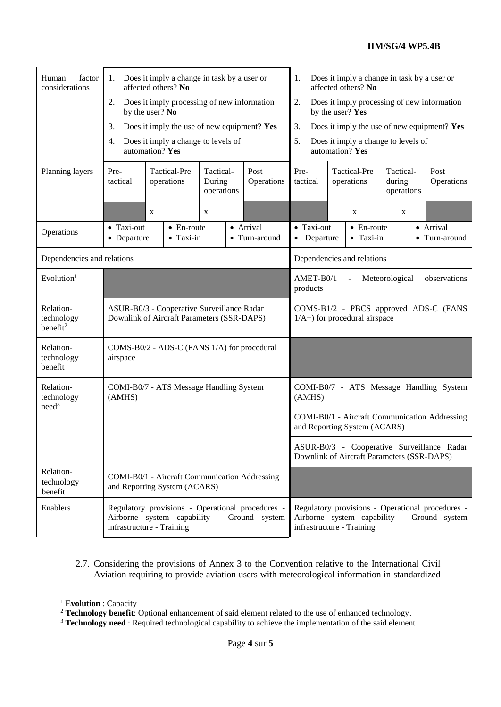### **IIM/SG/4 WP5.4B**

| factor<br>Human<br>considerations            | Does it imply a change in task by a user or<br>1.<br>affected others? No                                                    |                            |                                         |                                   |                            | Does it imply a change in task by a user or<br>1.<br>affected others? No                                                    |                                                                       |                                   |                                         |   |                                   |  |                    |
|----------------------------------------------|-----------------------------------------------------------------------------------------------------------------------------|----------------------------|-----------------------------------------|-----------------------------------|----------------------------|-----------------------------------------------------------------------------------------------------------------------------|-----------------------------------------------------------------------|-----------------------------------|-----------------------------------------|---|-----------------------------------|--|--------------------|
|                                              | Does it imply processing of new information<br>2.<br>by the user? No                                                        |                            |                                         |                                   |                            |                                                                                                                             | Does it imply processing of new information<br>2.<br>by the user? Yes |                                   |                                         |   |                                   |  |                    |
|                                              | 3.                                                                                                                          |                            |                                         |                                   |                            | Does it imply the use of new equipment? Yes                                                                                 | 3.<br>Does it imply the use of new equipment? Yes                     |                                   |                                         |   |                                   |  |                    |
|                                              | Does it imply a change to levels of<br>4.<br>automation? Yes                                                                |                            |                                         |                                   |                            | Does it imply a change to levels of<br>5.<br>automation? Yes                                                                |                                                                       |                                   |                                         |   |                                   |  |                    |
| Planning layers                              | Pre-<br>tactical                                                                                                            | Tactical-Pre<br>operations |                                         | Tactical-<br>During<br>operations |                            | Post<br>Operations                                                                                                          | Pre-                                                                  | tactical                          | <b>Tactical-Pre</b><br>operations       |   | Tactical-<br>during<br>operations |  | Post<br>Operations |
|                                              |                                                                                                                             | X                          |                                         | X                                 |                            |                                                                                                                             |                                                                       |                                   |                                         | X | X                                 |  |                    |
| Operations                                   | $\bullet$ Taxi-out<br>• Departure                                                                                           |                            | $\bullet$ En-route<br>$\bullet$ Taxi-in |                                   |                            | • Arrival<br>• Turn-around                                                                                                  |                                                                       | $\bullet$ Taxi-out<br>• Departure | $\bullet$ En-route<br>$\bullet$ Taxi-in |   | • Arrival<br>• Turn-around        |  |                    |
| Dependencies and relations                   |                                                                                                                             |                            |                                         |                                   | Dependencies and relations |                                                                                                                             |                                                                       |                                   |                                         |   |                                   |  |                    |
| Evolution <sup>1</sup>                       |                                                                                                                             |                            |                                         |                                   |                            | AMET-B0/1<br>Meteorological<br>observations<br>products                                                                     |                                                                       |                                   |                                         |   |                                   |  |                    |
| Relation-<br>technology<br>benefit $2$       | ASUR-B0/3 - Cooperative Surveillance Radar<br>Downlink of Aircraft Parameters (SSR-DAPS)                                    |                            |                                         |                                   |                            | COMS-B1/2 - PBCS approved ADS-C (FANS<br>$1/A+$ ) for procedural airspace                                                   |                                                                       |                                   |                                         |   |                                   |  |                    |
| Relation-<br>technology<br>benefit           | COMS-B0/2 - ADS-C (FANS 1/A) for procedural<br>airspace                                                                     |                            |                                         |                                   |                            |                                                                                                                             |                                                                       |                                   |                                         |   |                                   |  |                    |
| Relation-<br>technology<br>need <sup>3</sup> | COMI-B0/7 - ATS Message Handling System<br>(AMHS)                                                                           |                            |                                         |                                   |                            | COMI-B0/7 - ATS Message Handling System<br>(AMHS)                                                                           |                                                                       |                                   |                                         |   |                                   |  |                    |
|                                              |                                                                                                                             |                            |                                         |                                   |                            | COMI-B0/1 - Aircraft Communication Addressing<br>and Reporting System (ACARS)                                               |                                                                       |                                   |                                         |   |                                   |  |                    |
|                                              |                                                                                                                             |                            |                                         |                                   |                            | ASUR-B0/3 - Cooperative Surveillance Radar<br>Downlink of Aircraft Parameters (SSR-DAPS)                                    |                                                                       |                                   |                                         |   |                                   |  |                    |
| Relation-<br>technology<br>benefit           | COMI-B0/1 - Aircraft Communication Addressing<br>and Reporting System (ACARS)                                               |                            |                                         |                                   |                            |                                                                                                                             |                                                                       |                                   |                                         |   |                                   |  |                    |
| Enablers                                     | Regulatory provisions - Operational procedures -<br>Airborne system capability - Ground system<br>infrastructure - Training |                            |                                         |                                   |                            | Regulatory provisions - Operational procedures -<br>Airborne system capability - Ground system<br>infrastructure - Training |                                                                       |                                   |                                         |   |                                   |  |                    |

2.7. Considering the provisions of Annex 3 to the Convention relative to the International Civil Aviation requiring to provide aviation users with meteorological information in standardized

1

<sup>1</sup> **Evolution** : Capacity

<sup>2</sup> **Technology benefit**: Optional enhancement of said element related to the use of enhanced technology.

<sup>3</sup> **Technology need** : Required technological capability to achieve the implementation of the said element